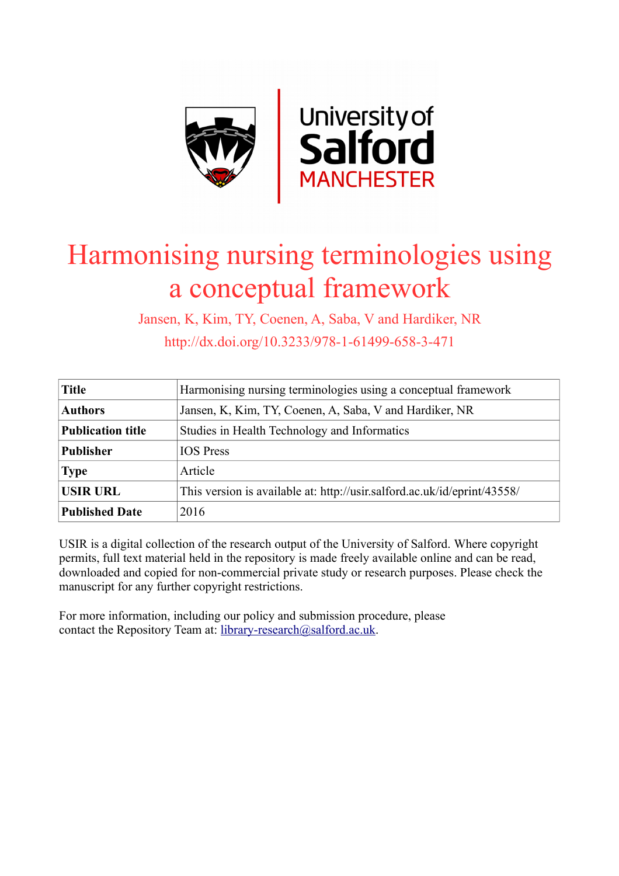

# Harmonising nursing terminologies using a conceptual framework

Jansen, K, Kim, TY, Coenen, A, Saba, V and Hardiker, NR http://dx.doi.org/10.3233/978-1-61499-658-3-471

| <b>Title</b>             | Harmonising nursing terminologies using a conceptual framework           |  |
|--------------------------|--------------------------------------------------------------------------|--|
| <b>Authors</b>           | Jansen, K, Kim, TY, Coenen, A, Saba, V and Hardiker, NR                  |  |
| <b>Publication title</b> | Studies in Health Technology and Informatics                             |  |
| <b>Publisher</b>         | <b>IOS</b> Press                                                         |  |
| <b>Type</b>              | Article                                                                  |  |
| <b>USIR URL</b>          | This version is available at: http://usir.salford.ac.uk/id/eprint/43558/ |  |
| <b>Published Date</b>    | 2016                                                                     |  |

USIR is a digital collection of the research output of the University of Salford. Where copyright permits, full text material held in the repository is made freely available online and can be read, downloaded and copied for non-commercial private study or research purposes. Please check the manuscript for any further copyright restrictions.

For more information, including our policy and submission procedure, please contact the Repository Team at: [library-research@salford.ac.uk.](mailto:library-research@salford.ac.uk)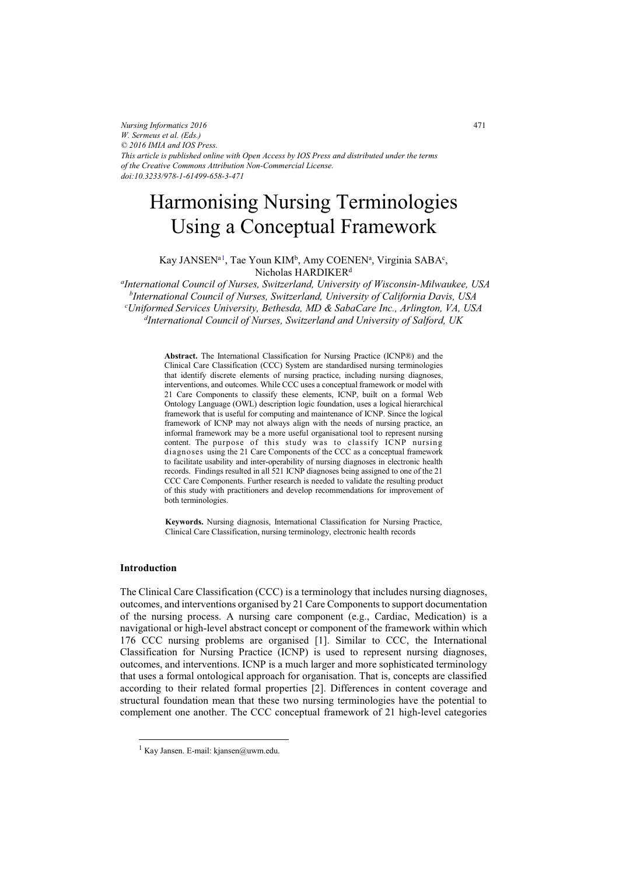*Nursing Informatics 2016 W. Sermeus et al. (Eds.) © 2016 IMIA and IOS Press. This article is published online with Open Access by IOS Press and distributed under the terms of the Creative Commons Attribution Non-Commercial License. doi:10.3233/978-1-61499-658-3-471*

# Harmonising Nursing Terminologies Using a Conceptual Framework

Kay JANSEN<sup>a 1</sup>, Tae Youn KIM<sup>b</sup>, Amy COENEN<sup>a</sup>, Virginia SABA<sup>c</sup>, Nicholas HARDIKERd

*a International Council of Nurses, Switzerland, University of Wisconsin-Milwaukee, USA b International Council of Nurses, Switzerland, University of California Davis, USA c Uniformed Services University, Bethesda, MD & SabaCare Inc., Arlington, VA, USA d International Council of Nurses, Switzerland and University of Salford, UK*

> **Abstract.** The International Classification for Nursing Practice (ICNP®) and the Clinical Care Classification (CCC) System are standardised nursing terminologies that identify discrete elements of nursing practice, including nursing diagnoses, interventions, and outcomes. While CCC uses a conceptual framework or model with 21 Care Components to classify these elements, ICNP, built on a formal Web Ontology Language (OWL) description logic foundation, uses a logical hierarchical framework that is useful for computing and maintenance of ICNP. Since the logical framework of ICNP may not always align with the needs of nursing practice, an informal framework may be a more useful organisational tool to represent nursing content. The purpose of this study was to classify ICNP nursing diagnoses using the 21 Care Components of the CCC as a conceptual framework to facilitate usability and inter-operability of nursing diagnoses in electronic health records. Findings resulted in all 521 ICNP diagnoses being assigned to one of the 21 CCC Care Components. Further research is needed to validate the resulting product of this study with practitioners and develop recommendations for improvement of both terminologies.

> **Keywords.** Nursing diagnosis, International Classification for Nursing Practice, Clinical Care Classification, nursing terminology, electronic health records

## **Introduction**

The Clinical Care Classification (CCC) is a terminology that includes nursing diagnoses, outcomes, and interventions organised by 21 Care Components to support documentation of the nursing process. A nursing care component (e.g., Cardiac, Medication) is a navigational or high-level abstract concept or component of the framework within which 176 CCC nursing problems are organised [1]. Similar to CCC, the International Classification for Nursing Practice (ICNP) is used to represent nursing diagnoses, outcomes, and interventions. ICNP is a much larger and more sophisticated terminology that uses a formal ontological approach for organisation. That is, concepts are classified according to their related formal properties [2]. Differences in content coverage and structural foundation mean that these two nursing terminologies have the potential to complement one another. The CCC conceptual framework of 21 high-level categories

<sup>&</sup>lt;sup>1</sup> Kay Jansen. E-mail: kjansen@uwm.edu.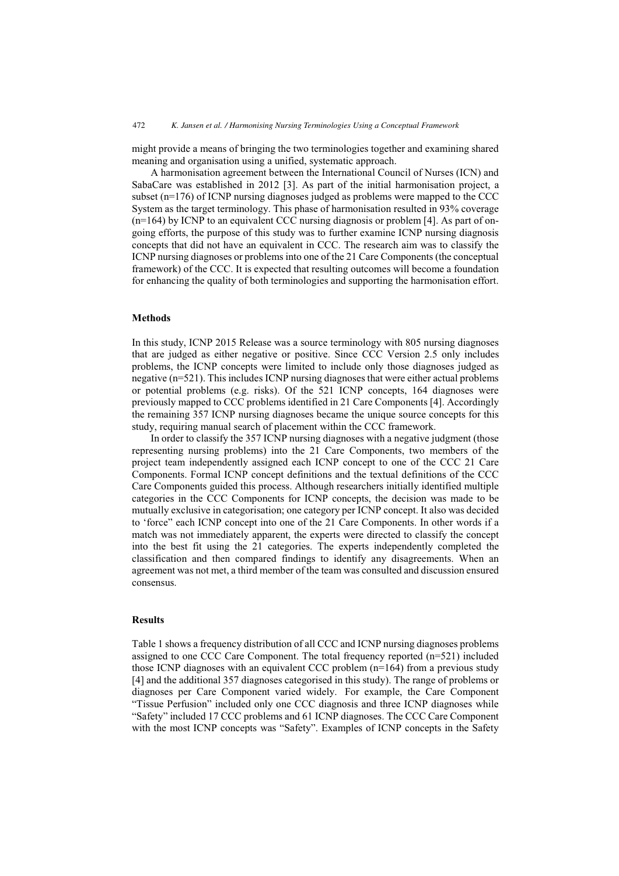might provide a means of bringing the two terminologies together and examining shared meaning and organisation using a unified, systematic approach.

A harmonisation agreement between the International Council of Nurses (ICN) and SabaCare was established in 2012 [3]. As part of the initial harmonisation project, a subset (n=176) of ICNP nursing diagnoses judged as problems were mapped to the CCC System as the target terminology. This phase of harmonisation resulted in 93% coverage (n=164) by ICNP to an equivalent CCC nursing diagnosis or problem [4]. As part of ongoing efforts, the purpose of this study was to further examine ICNP nursing diagnosis concepts that did not have an equivalent in CCC. The research aim was to classify the ICNP nursing diagnoses or problems into one of the 21 Care Components (the conceptual framework) of the CCC. It is expected that resulting outcomes will become a foundation for enhancing the quality of both terminologies and supporting the harmonisation effort.

#### **Methods**

In this study, ICNP 2015 Release was a source terminology with 805 nursing diagnoses that are judged as either negative or positive. Since CCC Version 2.5 only includes problems, the ICNP concepts were limited to include only those diagnoses judged as negative (n=521). This includes ICNP nursing diagnoses that were either actual problems or potential problems (e.g. risks). Of the 521 ICNP concepts, 164 diagnoses were previously mapped to CCC problems identified in 21 Care Components [4]. Accordingly the remaining 357 ICNP nursing diagnoses became the unique source concepts for this study, requiring manual search of placement within the CCC framework.

In order to classify the 357 ICNP nursing diagnoses with a negative judgment (those representing nursing problems) into the 21 Care Components, two members of the project team independently assigned each ICNP concept to one of the CCC 21 Care Components. Formal ICNP concept definitions and the textual definitions of the CCC Care Components guided this process. Although researchers initially identified multiple categories in the CCC Components for ICNP concepts, the decision was made to be mutually exclusive in categorisation; one category per ICNP concept. It also was decided to 'force" each ICNP concept into one of the 21 Care Components. In other words if a match was not immediately apparent, the experts were directed to classify the concept into the best fit using the 21 categories. The experts independently completed the classification and then compared findings to identify any disagreements. When an agreement was not met, a third member of the team was consulted and discussion ensured consensus.

#### **Results**

Table 1 shows a frequency distribution of all CCC and ICNP nursing diagnoses problems assigned to one CCC Care Component. The total frequency reported (n=521) included those ICNP diagnoses with an equivalent CCC problem (n=164) from a previous study [4] and the additional 357 diagnoses categorised in this study). The range of problems or diagnoses per Care Component varied widely. For example, the Care Component "Tissue Perfusion" included only one CCC diagnosis and three ICNP diagnoses while "Safety" included 17 CCC problems and 61 ICNP diagnoses. The CCC Care Component with the most ICNP concepts was "Safety". Examples of ICNP concepts in the Safety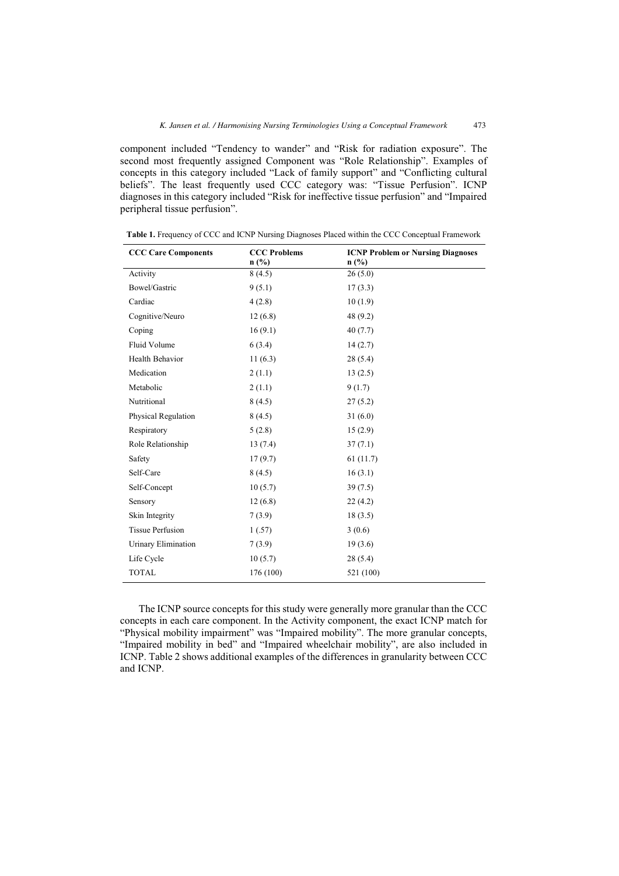component included "Tendency to wander" and "Risk for radiation exposure". The second most frequently assigned Component was "Role Relationship". Examples of concepts in this category included "Lack of family support" and "Conflicting cultural beliefs". The least frequently used CCC category was: "Tissue Perfusion". ICNP diagnoses in this category included "Risk for ineffective tissue perfusion" and "Impaired peripheral tissue perfusion".

| <b>CCC Care Components</b> | <b>CCC Problems</b><br>$n$ (%) | <b>ICNP Problem or Nursing Diagnoses</b><br>$n$ (%) |
|----------------------------|--------------------------------|-----------------------------------------------------|
| Activity                   | 8(4.5)                         | 26(5.0)                                             |
| Bowel/Gastric              | 9(5.1)                         | 17(3.3)                                             |
| Cardiac                    | 4(2.8)                         | 10(1.9)                                             |
| Cognitive/Neuro            | 12(6.8)                        | 48(9.2)                                             |
| Coping                     | 16(9.1)                        | 40(7.7)                                             |
| Fluid Volume               | 6(3.4)                         | 14(2.7)                                             |
| Health Behavior            | 11(6.3)                        | 28(5.4)                                             |
| Medication                 | 2(1.1)                         | 13(2.5)                                             |
| Metabolic                  | 2(1.1)                         | 9(1.7)                                              |
| Nutritional                | 8(4.5)                         | 27(5.2)                                             |
| Physical Regulation        | 8(4.5)                         | 31(6.0)                                             |
| Respiratory                | 5(2.8)                         | 15(2.9)                                             |
| Role Relationship          | 13(7.4)                        | 37(7.1)                                             |
| Safety                     | 17(9.7)                        | 61(11.7)                                            |
| Self-Care                  | 8(4.5)                         | 16(3.1)                                             |
| Self-Concept               | 10(5.7)                        | 39(7.5)                                             |
| Sensory                    | 12(6.8)                        | 22(4.2)                                             |
| Skin Integrity             | 7(3.9)                         | 18(3.5)                                             |
| <b>Tissue Perfusion</b>    | 1(.57)                         | 3(0.6)                                              |
| Urinary Elimination        | 7(3.9)                         | 19(3.6)                                             |
| Life Cycle                 | 10(5.7)                        | 28(5.4)                                             |
| <b>TOTAL</b>               | 176 (100)                      | 521 (100)                                           |

**Table 1.** Frequency of CCC and ICNP Nursing Diagnoses Placed within the CCC Conceptual Framework

The ICNP source concepts for this study were generally more granular than the CCC concepts in each care component. In the Activity component, the exact ICNP match for "Physical mobility impairment" was "Impaired mobility". The more granular concepts, "Impaired mobility in bed" and "Impaired wheelchair mobility", are also included in ICNP. Table 2 shows additional examples of the differences in granularity between CCC and ICNP.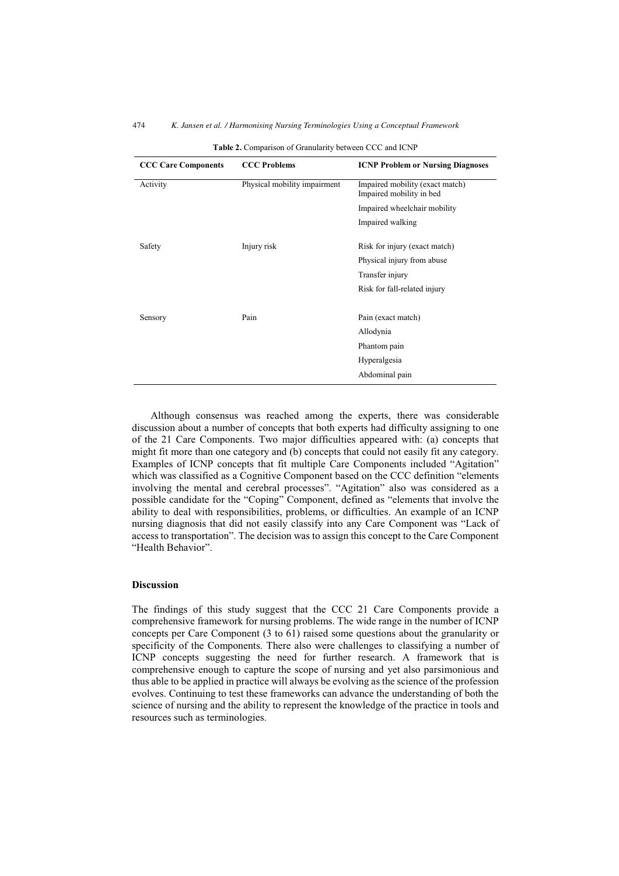| <b>CCC Care Components</b> | <b>CCC Problems</b>          | <b>ICNP Problem or Nursing Diagnoses</b>                    |
|----------------------------|------------------------------|-------------------------------------------------------------|
| Activity                   | Physical mobility impairment | Impaired mobility (exact match)<br>Impaired mobility in bed |
|                            |                              | Impaired wheelchair mobility                                |
|                            |                              | Impaired walking                                            |
| Safety                     | Injury risk                  | Risk for injury (exact match)                               |
|                            |                              | Physical injury from abuse                                  |
|                            |                              | Transfer injury                                             |
|                            |                              | Risk for fall-related injury                                |
|                            |                              |                                                             |
| Sensory                    | Pain                         | Pain (exact match)                                          |
|                            |                              | Allodynia                                                   |
|                            |                              | Phantom pain                                                |
|                            |                              | Hyperalgesia                                                |
|                            |                              | Abdominal pain                                              |

**Table 2.** Comparison of Granularity between CCC and ICNP

Although consensus was reached among the experts, there was considerable discussion about a number of concepts that both experts had difficulty assigning to one of the 21 Care Components. Two major difficulties appeared with: (a) concepts that might fit more than one category and (b) concepts that could not easily fit any category. Examples of ICNP concepts that fit multiple Care Components included "Agitation" which was classified as a Cognitive Component based on the CCC definition "elements involving the mental and cerebral processes". "Agitation" also was considered as a possible candidate for the "Coping" Component, defined as "elements that involve the ability to deal with responsibilities, problems, or difficulties. An example of an ICNP nursing diagnosis that did not easily classify into any Care Component was "Lack of access to transportation". The decision was to assign this concept to the Care Component "Health Behavior".

#### **Discussion**

The findings of this study suggest that the CCC 21 Care Components provide a comprehensive framework for nursing problems. The wide range in the number of ICNP concepts per Care Component (3 to 61) raised some questions about the granularity or specificity of the Components. There also were challenges to classifying a number of ICNP concepts suggesting the need for further research. A framework that is comprehensive enough to capture the scope of nursing and yet also parsimonious and thus able to be applied in practice will always be evolving as the science of the profession evolves. Continuing to test these frameworks can advance the understanding of both the science of nursing and the ability to represent the knowledge of the practice in tools and resources such as terminologies.